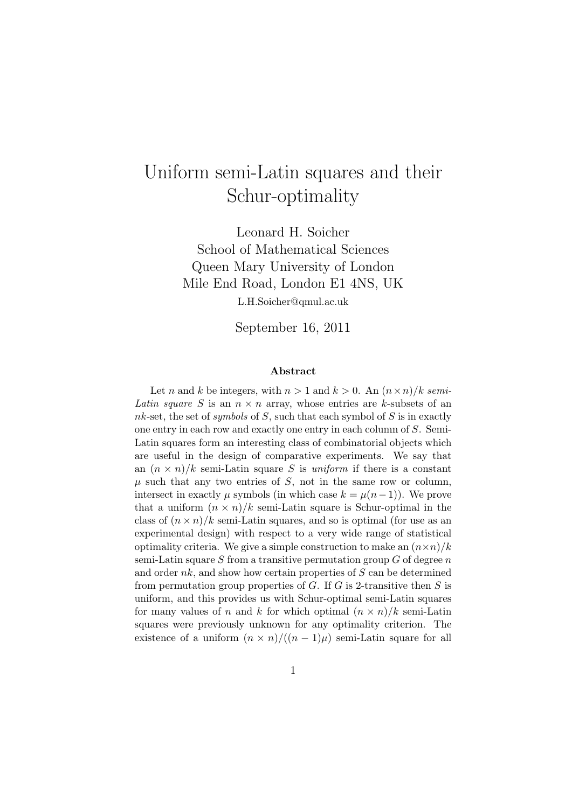# Uniform semi-Latin squares and their Schur-optimality

Leonard H. Soicher School of Mathematical Sciences Queen Mary University of London Mile End Road, London E1 4NS, UK L.H.Soicher@qmul.ac.uk

September 16, 2011

#### Abstract

Let n and k be integers, with  $n > 1$  and  $k > 0$ . An  $(n \times n)/k$  semi-Latin square S is an  $n \times n$  array, whose entries are k-subsets of an nk-set, the set of symbols of S, such that each symbol of S is in exactly one entry in each row and exactly one entry in each column of S. Semi-Latin squares form an interesting class of combinatorial objects which are useful in the design of comparative experiments. We say that an  $(n \times n)/k$  semi-Latin square S is uniform if there is a constant  $\mu$  such that any two entries of S, not in the same row or column, intersect in exactly  $\mu$  symbols (in which case  $k = \mu(n-1)$ ). We prove that a uniform  $(n \times n)/k$  semi-Latin square is Schur-optimal in the class of  $(n \times n)/k$  semi-Latin squares, and so is optimal (for use as an experimental design) with respect to a very wide range of statistical optimality criteria. We give a simple construction to make an  $(n \times n)/k$ semi-Latin square  $S$  from a transitive permutation group  $G$  of degree  $n$ and order  $nk$ , and show how certain properties of  $S$  can be determined from permutation group properties of  $G$ . If  $G$  is 2-transitive then  $S$  is uniform, and this provides us with Schur-optimal semi-Latin squares for many values of n and k for which optimal  $(n \times n)/k$  semi-Latin squares were previously unknown for any optimality criterion. The existence of a uniform  $(n \times n)/((n-1)\mu)$  semi-Latin square for all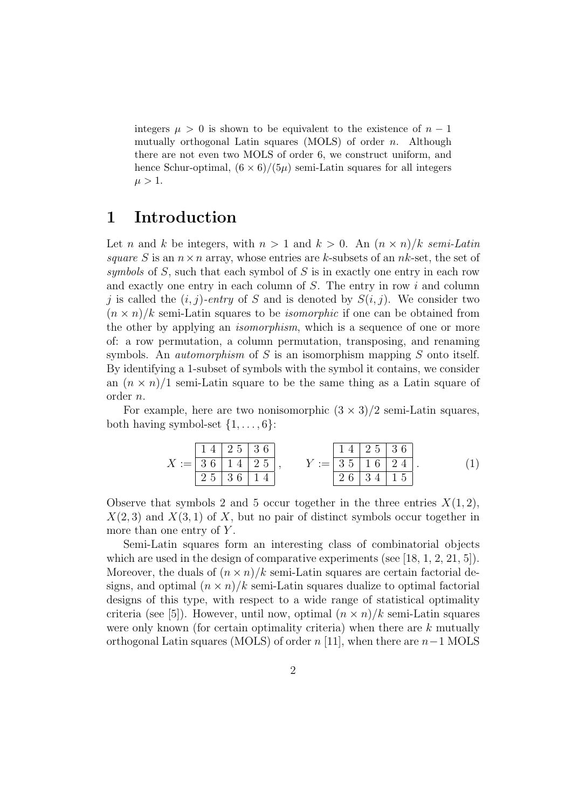integers  $\mu > 0$  is shown to be equivalent to the existence of  $n - 1$ mutually orthogonal Latin squares (MOLS) of order  $n$ . Although there are not even two MOLS of order 6, we construct uniform, and hence Schur-optimal,  $(6 \times 6)/(5\mu)$  semi-Latin squares for all integers  $\mu > 1$ .

## 1 Introduction

Let n and k be integers, with  $n > 1$  and  $k > 0$ . An  $(n \times n)/k$  semi-Latin square S is an  $n \times n$  array, whose entries are k-subsets of an nk-set, the set of symbols of  $S$ , such that each symbol of  $S$  is in exactly one entry in each row and exactly one entry in each column of S. The entry in row i and column j is called the  $(i, j)$ -entry of S and is denoted by  $S(i, j)$ . We consider two  $(n \times n)/k$  semi-Latin squares to be *isomorphic* if one can be obtained from the other by applying an isomorphism, which is a sequence of one or more of: a row permutation, a column permutation, transposing, and renaming symbols. An *automorphism* of S is an isomorphism mapping S onto itself. By identifying a 1-subset of symbols with the symbol it contains, we consider an  $(n \times n)/1$  semi-Latin square to be the same thing as a Latin square of order n.

For example, here are two nonisomorphic  $(3 \times 3)/2$  semi-Latin squares, both having symbol-set  $\{1, \ldots, 6\}$ :

X := 1 4 2 5 3 6 3 6 1 4 2 5 2 5 3 6 1 4 , Y := 1 4 2 5 3 6 3 5 1 6 2 4 2 6 3 4 1 5 . (1)

Observe that symbols 2 and 5 occur together in the three entries  $X(1, 2)$ ,  $X(2,3)$  and  $X(3,1)$  of X, but no pair of distinct symbols occur together in more than one entry of Y.

Semi-Latin squares form an interesting class of combinatorial objects which are used in the design of comparative experiments (see  $[18, 1, 2, 21, 5]$ ). Moreover, the duals of  $(n \times n)/k$  semi-Latin squares are certain factorial designs, and optimal  $(n \times n)/k$  semi-Latin squares dualize to optimal factorial designs of this type, with respect to a wide range of statistical optimality criteria (see [5]). However, until now, optimal  $(n \times n)/k$  semi-Latin squares were only known (for certain optimality criteria) when there are  $k$  mutually orthogonal Latin squares (MOLS) of order  $n$  [11], when there are  $n-1$  MOLS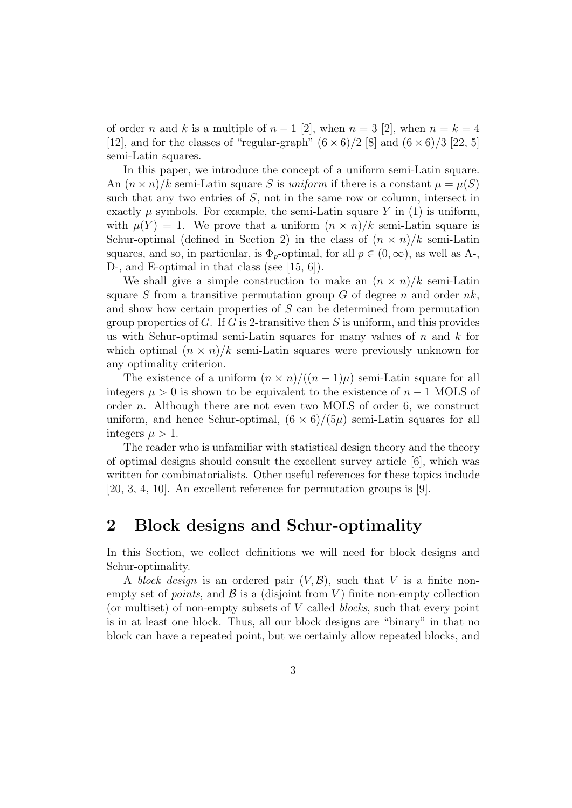of order n and k is a multiple of  $n-1$  [2], when  $n=3$  [2], when  $n=k=4$ [12], and for the classes of "regular-graph"  $(6 \times 6)/2$  [8] and  $(6 \times 6)/3$  [22, 5] semi-Latin squares.

In this paper, we introduce the concept of a uniform semi-Latin square. An  $(n \times n)/k$  semi-Latin square S is uniform if there is a constant  $\mu = \mu(S)$ such that any two entries of  $S$ , not in the same row or column, intersect in exactly  $\mu$  symbols. For example, the semi-Latin square Y in (1) is uniform, with  $\mu(Y) = 1$ . We prove that a uniform  $(n \times n)/k$  semi-Latin square is Schur-optimal (defined in Section 2) in the class of  $(n \times n)/k$  semi-Latin squares, and so, in particular, is  $\Phi_p$ -optimal, for all  $p \in (0,\infty)$ , as well as A-, D-, and E-optimal in that class (see [15, 6]).

We shall give a simple construction to make an  $(n \times n)/k$  semi-Latin square S from a transitive permutation group  $G$  of degree n and order  $nk$ , and show how certain properties of S can be determined from permutation group properties of G. If G is 2-transitive then S is uniform, and this provides us with Schur-optimal semi-Latin squares for many values of  $n$  and  $k$  for which optimal  $(n \times n)/k$  semi-Latin squares were previously unknown for any optimality criterion.

The existence of a uniform  $(n \times n)/((n-1)\mu)$  semi-Latin square for all integers  $\mu > 0$  is shown to be equivalent to the existence of  $n - 1$  MOLS of order n. Although there are not even two MOLS of order 6, we construct uniform, and hence Schur-optimal,  $(6 \times 6)/(5\mu)$  semi-Latin squares for all integers  $\mu > 1$ .

The reader who is unfamiliar with statistical design theory and the theory of optimal designs should consult the excellent survey article [6], which was written for combinatorialists. Other useful references for these topics include [20, 3, 4, 10]. An excellent reference for permutation groups is [9].

## 2 Block designs and Schur-optimality

In this Section, we collect definitions we will need for block designs and Schur-optimality.

A block design is an ordered pair  $(V, \mathcal{B})$ , such that V is a finite nonempty set of *points*, and  $\mathcal{B}$  is a (disjoint from V) finite non-empty collection (or multiset) of non-empty subsets of  $V$  called *blocks*, such that every point is in at least one block. Thus, all our block designs are "binary" in that no block can have a repeated point, but we certainly allow repeated blocks, and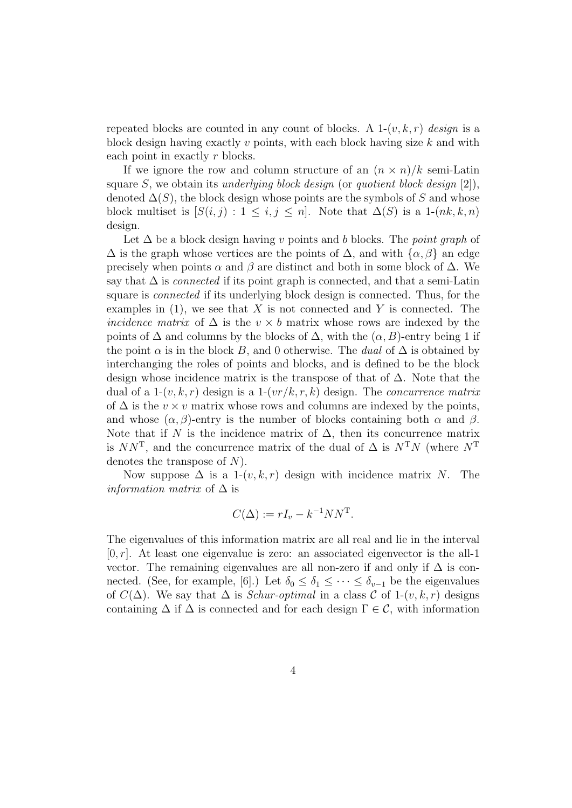repeated blocks are counted in any count of blocks. A  $1-(v, k, r)$  design is a block design having exactly v points, with each block having size  $k$  and with each point in exactly r blocks.

If we ignore the row and column structure of an  $(n \times n)/k$  semi-Latin square S, we obtain its underlying block design (or quotient block design  $[2]$ ), denoted  $\Delta(S)$ , the block design whose points are the symbols of S and whose block multiset is  $[S(i, j) : 1 \le i, j \le n]$ . Note that  $\Delta(S)$  is a 1- $(nk, k, n)$ design.

Let  $\Delta$  be a block design having v points and b blocks. The point graph of  $\Delta$  is the graph whose vertices are the points of  $\Delta$ , and with  $\{\alpha, \beta\}$  an edge precisely when points  $\alpha$  and  $\beta$  are distinct and both in some block of  $\Delta$ . We say that  $\Delta$  is *connected* if its point graph is connected, and that a semi-Latin square is connected if its underlying block design is connected. Thus, for the examples in  $(1)$ , we see that X is not connected and Y is connected. The *incidence matrix* of  $\Delta$  is the  $v \times b$  matrix whose rows are indexed by the points of  $\Delta$  and columns by the blocks of  $\Delta$ , with the  $(\alpha, B)$ -entry being 1 if the point  $\alpha$  is in the block B, and 0 otherwise. The *dual* of  $\Delta$  is obtained by interchanging the roles of points and blocks, and is defined to be the block design whose incidence matrix is the transpose of that of  $\Delta$ . Note that the dual of a 1- $(v, k, r)$  design is a 1- $(vr/k, r, k)$  design. The *concurrence matrix* of  $\Delta$  is the  $v \times v$  matrix whose rows and columns are indexed by the points, and whose  $(\alpha, \beta)$ -entry is the number of blocks containing both  $\alpha$  and  $\beta$ . Note that if N is the incidence matrix of  $\Delta$ , then its concurrence matrix is  $NN^T$ , and the concurrence matrix of the dual of  $\Delta$  is  $N^TN$  (where  $N^T$ denotes the transpose of  $N$ ).

Now suppose  $\Delta$  is a 1- $(v, k, r)$  design with incidence matrix N. The *information matrix* of  $\Delta$  is

$$
C(\Delta) := rI_v - k^{-1}NN^{\mathrm{T}}.
$$

The eigenvalues of this information matrix are all real and lie in the interval  $[0, r]$ . At least one eigenvalue is zero: an associated eigenvector is the all-1 vector. The remaining eigenvalues are all non-zero if and only if  $\Delta$  is connected. (See, for example, [6].) Let  $\delta_0 \leq \delta_1 \leq \cdots \leq \delta_{v-1}$  be the eigenvalues of  $C(\Delta)$ . We say that  $\Delta$  is *Schur-optimal* in a class C of 1- $(v, k, r)$  designs containing  $\Delta$  if  $\Delta$  is connected and for each design  $\Gamma \in \mathcal{C}$ , with information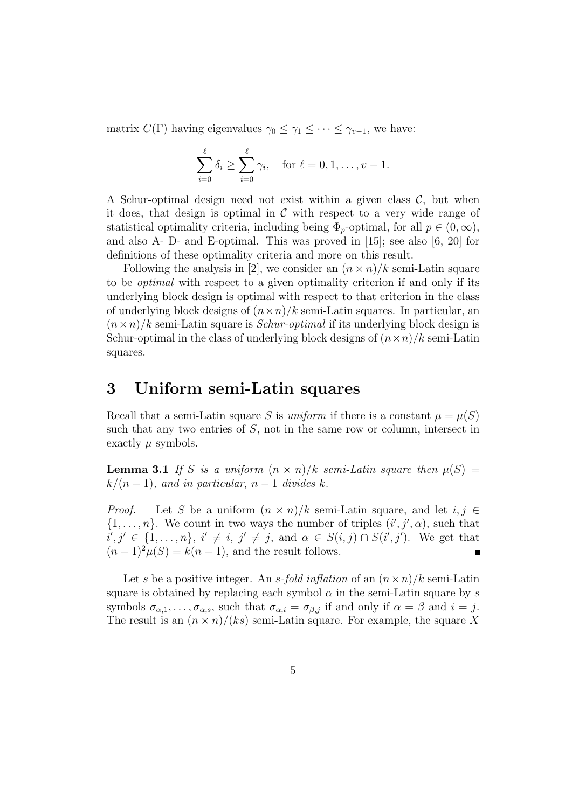matrix  $C(\Gamma)$  having eigenvalues  $\gamma_0 \leq \gamma_1 \leq \cdots \leq \gamma_{v-1}$ , we have:

$$
\sum_{i=0}^{\ell} \delta_i \ge \sum_{i=0}^{\ell} \gamma_i, \text{ for } \ell = 0, 1, \dots, v - 1.
$$

A Schur-optimal design need not exist within a given class  $C$ , but when it does, that design is optimal in  $\mathcal C$  with respect to a very wide range of statistical optimality criteria, including being  $\Phi_p$ -optimal, for all  $p \in (0,\infty)$ , and also A- D- and E-optimal. This was proved in [15]; see also [6, 20] for definitions of these optimality criteria and more on this result.

Following the analysis in [2], we consider an  $(n \times n)/k$  semi-Latin square to be optimal with respect to a given optimality criterion if and only if its underlying block design is optimal with respect to that criterion in the class of underlying block designs of  $(n \times n)/k$  semi-Latin squares. In particular, an  $(n \times n)/k$  semi-Latin square is *Schur-optimal* if its underlying block design is Schur-optimal in the class of underlying block designs of  $(n \times n)/k$  semi-Latin squares.

### 3 Uniform semi-Latin squares

Recall that a semi-Latin square S is uniform if there is a constant  $\mu = \mu(S)$ such that any two entries of S, not in the same row or column, intersect in exactly  $\mu$  symbols.

**Lemma 3.1** If S is a uniform  $(n \times n)/k$  semi-Latin square then  $\mu(S)$  =  $k/(n-1)$ , and in particular,  $n-1$  divides k.

*Proof.* Let S be a uniform  $(n \times n)/k$  semi-Latin square, and let  $i, j \in$  $\{1,\ldots,n\}$ . We count in two ways the number of triples  $(i',j',\alpha)$ , such that  $i', j' \in \{1, \ldots, n\}, i' \neq i, j' \neq j$ , and  $\alpha \in S(i, j) \cap S(i', j')$ . We get that  $(n-1)^2 \mu(S) = k(n-1)$ , and the result follows.

Let s be a positive integer. An s-fold inflation of an  $(n \times n)/k$  semi-Latin square is obtained by replacing each symbol  $\alpha$  in the semi-Latin square by s symbols  $\sigma_{\alpha,1}, \ldots, \sigma_{\alpha,s}$ , such that  $\sigma_{\alpha,i} = \sigma_{\beta,j}$  if and only if  $\alpha = \beta$  and  $i = j$ . The result is an  $(n \times n)/(ks)$  semi-Latin square. For example, the square X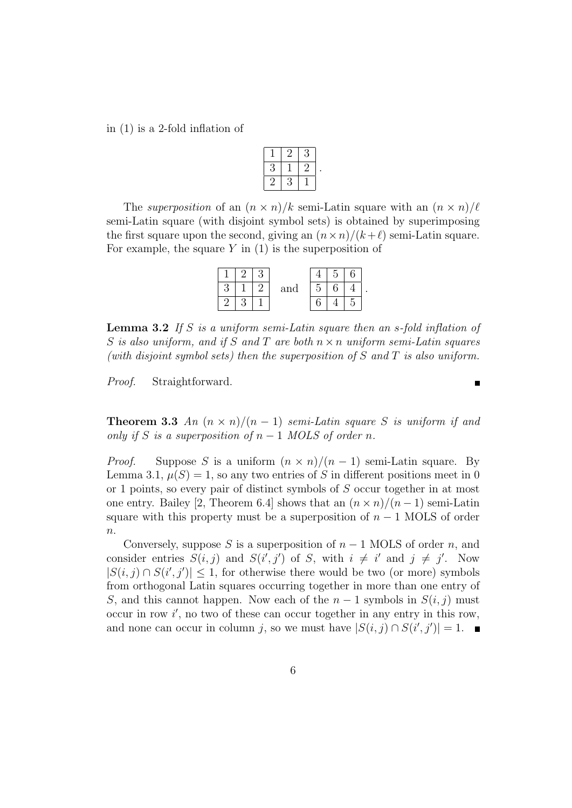in (1) is a 2-fold inflation of

|  |   | F  |  |
|--|---|----|--|
|  |   | ٠, |  |
|  | У |    |  |

The superposition of an  $(n \times n)/k$  semi-Latin square with an  $(n \times n)/\ell$ semi-Latin square (with disjoint symbol sets) is obtained by superimposing the first square upon the second, giving an  $(n \times n)/(k+\ell)$  semi-Latin square. For example, the square  $Y$  in  $(1)$  is the superposition of

|  |  | and | r |  |  |
|--|--|-----|---|--|--|
|  |  |     |   |  |  |

**Lemma 3.2** If S is a uniform semi-Latin square then an s-fold inflation of S is also uniform, and if S and T are both  $n \times n$  uniform semi-Latin squares (with disjoint symbol sets) then the superposition of  $S$  and  $T$  is also uniform.

Proof. Straightforward.

**Theorem 3.3** An  $(n \times n)/(n-1)$  semi-Latin square S is uniform if and only if S is a superposition of  $n-1$  MOLS of order n.

*Proof.* Suppose S is a uniform  $(n \times n)/(n-1)$  semi-Latin square. By Lemma 3.1,  $\mu(S) = 1$ , so any two entries of S in different positions meet in 0 or 1 points, so every pair of distinct symbols of S occur together in at most one entry. Bailey [2, Theorem 6.4] shows that an  $(n \times n)/(n-1)$  semi-Latin square with this property must be a superposition of  $n - 1$  MOLS of order  $\overline{n}$ .

Conversely, suppose S is a superposition of  $n-1$  MOLS of order n, and consider entries  $S(i, j)$  and  $S(i', j')$  of S, with  $i \neq i'$  and  $j \neq j'$ . Now  $|S(i, j) \cap S(i', j')| \leq 1$ , for otherwise there would be two (or more) symbols from orthogonal Latin squares occurring together in more than one entry of S, and this cannot happen. Now each of the  $n-1$  symbols in  $S(i, j)$  must  $\alpha$  occur in row  $i'$ , no two of these can occur together in any entry in this row, and none can occur in column j, so we must have  $|S(i, j) \cap S(i', j')| = 1$ .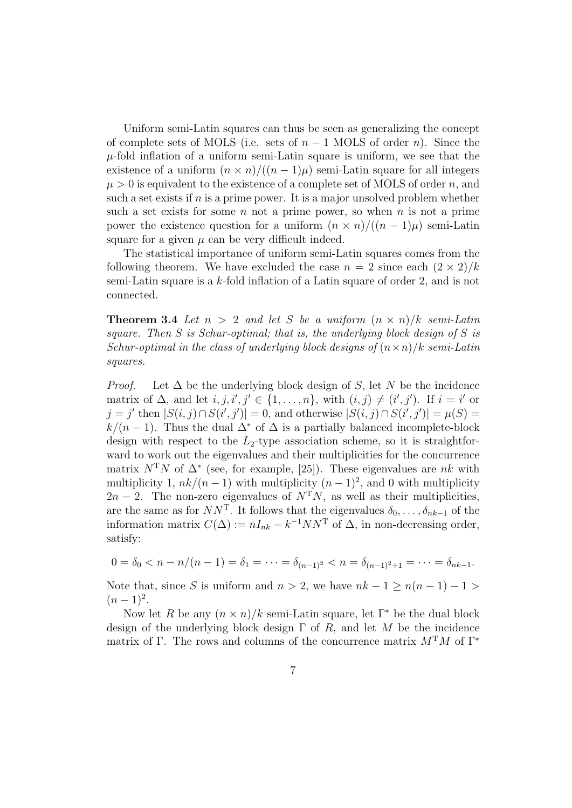Uniform semi-Latin squares can thus be seen as generalizing the concept of complete sets of MOLS (i.e. sets of  $n-1$  MOLS of order n). Since the  $\mu$ -fold inflation of a uniform semi-Latin square is uniform, we see that the existence of a uniform  $(n \times n)/((n-1)\mu)$  semi-Latin square for all integers  $\mu > 0$  is equivalent to the existence of a complete set of MOLS of order n, and such a set exists if  $n$  is a prime power. It is a major unsolved problem whether such a set exists for some n not a prime power, so when n is not a prime power the existence question for a uniform  $(n \times n)/((n-1)\mu)$  semi-Latin square for a given  $\mu$  can be very difficult indeed.

The statistical importance of uniform semi-Latin squares comes from the following theorem. We have excluded the case  $n = 2$  since each  $(2 \times 2)/k$ semi-Latin square is a k-fold inflation of a Latin square of order 2, and is not connected.

**Theorem 3.4** Let  $n > 2$  and let S be a uniform  $(n \times n)/k$  semi-Latin square. Then  $S$  is Schur-optimal; that is, the underlying block design of  $S$  is Schur-optimal in the class of underlying block designs of  $(n \times n)/k$  semi-Latin squares.

*Proof.* Let  $\Delta$  be the underlying block design of S, let N be the incidence matrix of  $\Delta$ , and let  $i, j, i', j' \in \{1, ..., n\}$ , with  $(i, j) \neq (i', j')$ . If  $i = i'$  or  $j = j'$  then  $|S(i, j) \cap S(i', j')| = 0$ , and otherwise  $|S(i, j) \cap S(i', j')| = \mu(S) =$  $k/(n-1)$ . Thus the dual  $\Delta^*$  of  $\Delta$  is a partially balanced incomplete-block design with respect to the  $L_2$ -type association scheme, so it is straightforward to work out the eigenvalues and their multiplicities for the concurrence matrix  $N^{T}N$  of  $\Delta^*$  (see, for example, [25]). These eigenvalues are nk with multiplicity 1,  $nk/(n-1)$  with multiplicity  $(n-1)^2$ , and 0 with multiplicity  $2n-2$ . The non-zero eigenvalues of  $N^TN$ , as well as their multiplicities, are the same as for  $NN^{\mathsf{T}}$ . It follows that the eigenvalues  $\delta_0, \ldots, \delta_{nk-1}$  of the information matrix  $C(\Delta) := nI_{nk} - k^{-1}NN^{T}$  of  $\Delta$ , in non-decreasing order, satisfy:

$$
0 = \delta_0 < n - n/(n - 1) = \delta_1 = \dots = \delta_{(n-1)^2} < n = \delta_{(n-1)^2 + 1} = \dots = \delta_{nk - 1}.
$$

Note that, since S is uniform and  $n > 2$ , we have  $nk - 1 \ge n(n - 1) - 1 >$  $(n-1)^2$ .

Now let R be any  $(n \times n)/k$  semi-Latin square, let  $\Gamma^*$  be the dual block design of the underlying block design  $\Gamma$  of  $R$ , and let  $M$  be the incidence matrix of Γ. The rows and columns of the concurrence matrix  $M<sup>T</sup>M$  of Γ<sup>\*</sup>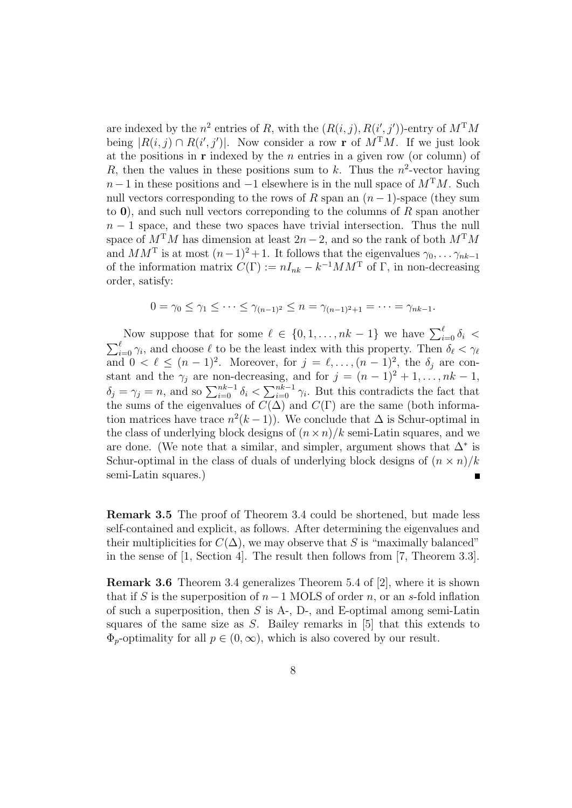are indexed by the  $n^2$  entries of R, with the  $(R(i, j), R(i', j'))$ -entry of  $M^{T}M$ being  $|R(i, j) \cap R(i', j')|$ . Now consider a row **r** of  $M^{T}M$ . If we just look at the positions in  $\bf{r}$  indexed by the *n* entries in a given row (or column) of R, then the values in these positions sum to k. Thus the  $n^2$ -vector having  $n-1$  in these positions and  $-1$  elsewhere is in the null space of  $M<sup>T</sup>M$ . Such null vectors corresponding to the rows of R span an  $(n-1)$ -space (they sum to  $\mathbf{0}$ ), and such null vectors correponding to the columns of R span another  $n-1$  space, and these two spaces have trivial intersection. Thus the null space of  $M^{T}M$  has dimension at least  $2n-2$ , and so the rank of both  $M^{T}M$ and  $MM^{\mathrm{T}}$  is at most  $(n-1)^2 + 1$ . It follows that the eigenvalues  $\gamma_0, \ldots, \gamma_{nk-1}$ of the information matrix  $C(\Gamma) := nI_{nk} - k^{-1}MM^{\mathrm{T}}$  of  $\Gamma$ , in non-decreasing order, satisfy:

$$
0 = \gamma_0 \le \gamma_1 \le \cdots \le \gamma_{(n-1)^2} \le n = \gamma_{(n-1)^2+1} = \cdots = \gamma_{nk-1}.
$$

Now suppose that for some  $\ell \in \{0, 1, \ldots, nk-1\}$  we have  $\sum_{i=0}^{\ell} \delta_i$  $\sum_{i=0}^{\ell} \gamma_i$ , and choose  $\ell$  to be the least index with this property. Then  $\delta_{\ell} < \gamma_{\ell}$ and  $0 < \ell \leq (n-1)^2$ . Moreover, for  $j = \ell, \ldots, (n-1)^2$ , the  $\delta_j$  are constant and the  $\gamma_j$  are non-decreasing, and for  $j = (n-1)^2 + 1, \ldots, nk-1$ ,  $\delta_j = \gamma_j = n$ , and so  $\sum_{i=0}^{nk-1} \delta_i < \sum_{i=0}^{nk-1} \gamma_i$ . But this contradicts the fact that the sums of the eigenvalues of  $C(\Delta)$  and  $C(\Gamma)$  are the same (both information matrices have trace  $n^2(k-1)$ ). We conclude that  $\Delta$  is Schur-optimal in the class of underlying block designs of  $(n \times n)/k$  semi-Latin squares, and we are done. (We note that a similar, and simpler, argument shows that  $\Delta^*$  is Schur-optimal in the class of duals of underlying block designs of  $(n \times n)/k$ semi-Latin squares.) Н

Remark 3.5 The proof of Theorem 3.4 could be shortened, but made less self-contained and explicit, as follows. After determining the eigenvalues and their multiplicities for  $C(\Delta)$ , we may observe that S is "maximally balanced" in the sense of [1, Section 4]. The result then follows from [7, Theorem 3.3].

Remark 3.6 Theorem 3.4 generalizes Theorem 5.4 of [2], where it is shown that if S is the superposition of  $n-1$  MOLS of order n, or an s-fold inflation of such a superposition, then  $S$  is  $A_-, D_-,$  and E-optimal among semi-Latin squares of the same size as  $S$ . Bailey remarks in  $[5]$  that this extends to  $\Phi_p$ -optimality for all  $p \in (0,\infty)$ , which is also covered by our result.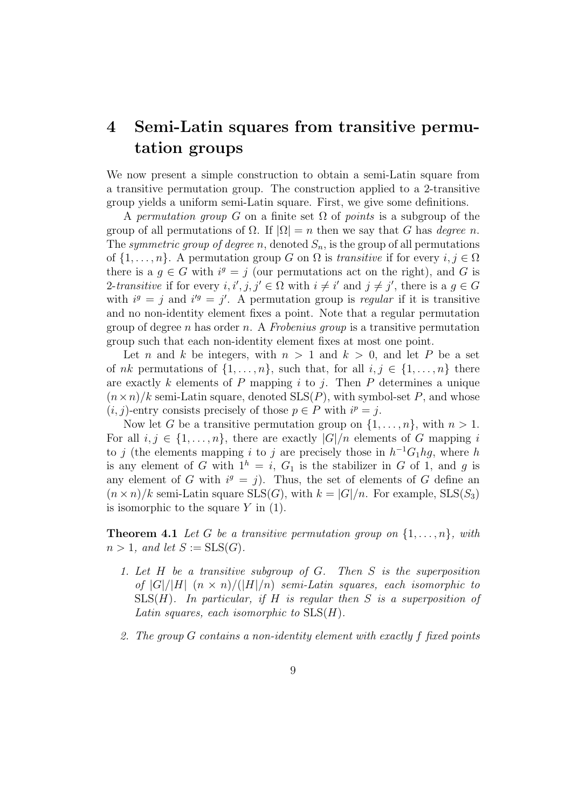## 4 Semi-Latin squares from transitive permutation groups

We now present a simple construction to obtain a semi-Latin square from a transitive permutation group. The construction applied to a 2-transitive group yields a uniform semi-Latin square. First, we give some definitions.

A permutation group G on a finite set  $\Omega$  of points is a subgroup of the group of all permutations of  $\Omega$ . If  $|\Omega| = n$  then we say that G has *degree n*. The symmetric group of degree n, denoted  $S_n$ , is the group of all permutations of  $\{1, \ldots, n\}$ . A permutation group G on  $\Omega$  is transitive if for every  $i, j \in \Omega$ there is a  $g \in G$  with  $i^g = j$  (our permutations act on the right), and G is 2-transitive if for every  $i, i', j, j' \in \Omega$  with  $i \neq i'$  and  $j \neq j'$ , there is a  $g \in G$ with  $i^g = j$  and  $i'^g = j'$ . A permutation group is *regular* if it is transitive and no non-identity element fixes a point. Note that a regular permutation group of degree n has order n. A Frobenius group is a transitive permutation group such that each non-identity element fixes at most one point.

Let n and k be integers, with  $n > 1$  and  $k > 0$ , and let P be a set of nk permutations of  $\{1, \ldots, n\}$ , such that, for all  $i, j \in \{1, \ldots, n\}$  there are exactly k elements of P mapping i to j. Then P determines a unique  $(n \times n)/k$  semi-Latin square, denoted  $SLS(P)$ , with symbol-set P, and whose  $(i, j)$ -entry consists precisely of those  $p \in P$  with  $i^p = j$ .

Now let G be a transitive permutation group on  $\{1, \ldots, n\}$ , with  $n > 1$ . For all  $i, j \in \{1, \ldots, n\}$ , there are exactly  $|G|/n$  elements of G mapping i to j (the elements mapping i to j are precisely those in  $h^{-1}G_1hg$ , where h is any element of G with  $1^h = i$ ,  $G_1$  is the stabilizer in G of 1, and g is any element of G with  $i^g = j$ . Thus, the set of elements of G define an  $(n \times n)/k$  semi-Latin square SLS(G), with  $k = |G|/n$ . For example, SLS(S<sub>3</sub>) is isomorphic to the square  $Y$  in  $(1)$ .

**Theorem 4.1** Let G be a transitive permutation group on  $\{1, \ldots, n\}$ , with  $n > 1$ , and let  $S := SLS(G)$ .

- 1. Let H be a transitive subgroup of G. Then S is the superposition of  $|G|/|H|$   $(n \times n)/(|H|/n)$  semi-Latin squares, each isomorphic to  $SLS(H)$ . In particular, if H is regular then S is a superposition of Latin squares, each isomorphic to  $SLS(H)$ .
- 2. The group G contains a non-identity element with exactly f fixed points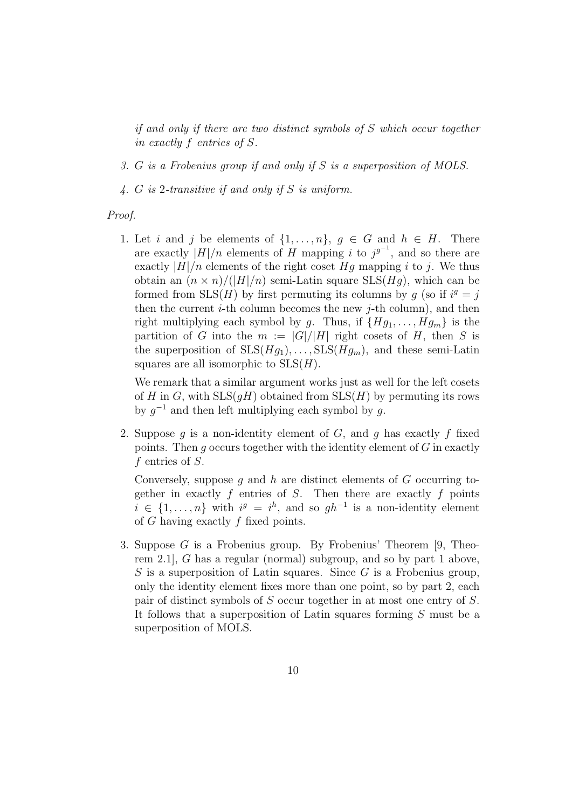if and only if there are two distinct symbols of S which occur together in exactly f entries of S.

- 3. G is a Frobenius group if and only if S is a superposition of MOLS.
- 4. G is 2-transitive if and only if S is uniform.

#### Proof.

1. Let i and j be elements of  $\{1, \ldots, n\}$ ,  $q \in G$  and  $h \in H$ . There are exactly  $|H|/n$  elements of H mapping i to  $j^{g^{-1}}$ , and so there are exactly  $|H|/n$  elements of the right coset Hg mapping i to j. We thus obtain an  $(n \times n)/(|H|/n)$  semi-Latin square SLS(Hq), which can be formed from  $SLS(H)$  by first permuting its columns by g (so if  $i^g = j$ ) then the current  $i$ -th column becomes the new  $j$ -th column), and then right multiplying each symbol by g. Thus, if  ${Hg_1, \ldots, Hg_m}$  is the partition of G into the  $m := |G|/|H|$  right cosets of H, then S is the superposition of  $SLS(Hg_1), \ldots, SLS(Hg_m)$ , and these semi-Latin squares are all isomorphic to  $SLS(H)$ .

We remark that a similar argument works just as well for the left cosets of H in G, with  $SLS(qH)$  obtained from  $SLS(H)$  by permuting its rows by  $g^{-1}$  and then left multiplying each symbol by g.

2. Suppose g is a non-identity element of  $G$ , and g has exactly f fixed points. Then q occurs together with the identity element of  $G$  in exactly f entries of S.

Conversely, suppose  $g$  and  $h$  are distinct elements of  $G$  occurring together in exactly  $f$  entries of  $S$ . Then there are exactly  $f$  points  $i \in \{1, \ldots, n\}$  with  $i^g = i^h$ , and so  $gh^{-1}$  is a non-identity element of G having exactly f fixed points.

3. Suppose G is a Frobenius group. By Frobenius' Theorem [9, Theorem 2.1], G has a regular (normal) subgroup, and so by part 1 above, S is a superposition of Latin squares. Since  $G$  is a Frobenius group, only the identity element fixes more than one point, so by part 2, each pair of distinct symbols of S occur together in at most one entry of S. It follows that a superposition of Latin squares forming S must be a superposition of MOLS.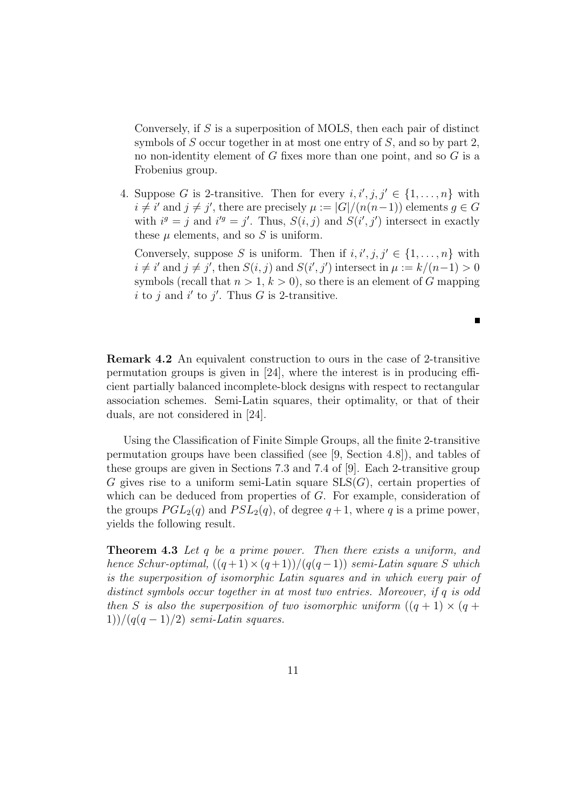Conversely, if S is a superposition of MOLS, then each pair of distinct symbols of S occur together in at most one entry of S, and so by part 2. no non-identity element of G fixes more than one point, and so G is a Frobenius group.

4. Suppose G is 2-transitive. Then for every  $i, i', j, j' \in \{1, \ldots, n\}$  with  $i \neq i'$  and  $j \neq j'$ , there are precisely  $\mu := |G|/(n(n-1))$  elements  $g \in G$ with  $i^g = j$  and  $i'^g = j'$ . Thus,  $S(i, j)$  and  $S(i', j')$  intersect in exactly these  $\mu$  elements, and so  $S$  is uniform.

Conversely, suppose S is uniform. Then if  $i, i', j, j' \in \{1, \ldots, n\}$  with  $i \neq i'$  and  $j \neq j'$ , then  $S(i, j)$  and  $S(i', j')$  intersect in  $\mu := k/(n-1) > 0$ symbols (recall that  $n > 1, k > 0$ ), so there is an element of G mapping i to j and i' to j'. Thus G is 2-transitive.

 $\blacksquare$ 

Remark 4.2 An equivalent construction to ours in the case of 2-transitive permutation groups is given in [24], where the interest is in producing efficient partially balanced incomplete-block designs with respect to rectangular association schemes. Semi-Latin squares, their optimality, or that of their duals, are not considered in [24].

Using the Classification of Finite Simple Groups, all the finite 2-transitive permutation groups have been classified (see [9, Section 4.8]), and tables of these groups are given in Sections 7.3 and 7.4 of [9]. Each 2-transitive group G gives rise to a uniform semi-Latin square  $SLS(G)$ , certain properties of which can be deduced from properties of G. For example, consideration of the groups  $PGL_2(q)$  and  $PSL_2(q)$ , of degree  $q+1$ , where q is a prime power, yields the following result.

Theorem 4.3 Let q be a prime power. Then there exists a uniform, and hence Schur-optimal,  $((q+1) \times (q+1))/(q(q-1))$  semi-Latin square S which is the superposition of isomorphic Latin squares and in which every pair of distinct symbols occur together in at most two entries. Moreover, if q is odd then S is also the superposition of two isomorphic uniform  $((q + 1) \times (q +$  $1)$ )/(q(q - 1)/2) semi-Latin squares.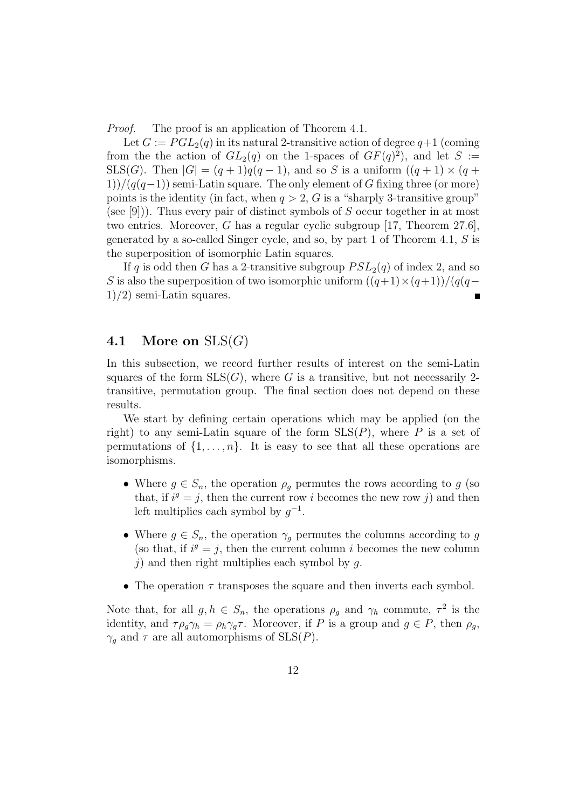*Proof.* The proof is an application of Theorem 4.1.

Let  $G := PGL_2(q)$  in its natural 2-transitive action of degree  $q+1$  (coming from the the action of  $GL_2(q)$  on the 1-spaces of  $GF(q)^2$ , and let S := SLS(G). Then  $|G| = (q+1)q(q-1)$ , and so S is a uniform  $((q+1) \times (q+1))$  $1)$ /(q(q−1)) semi-Latin square. The only element of G fixing three (or more) points is the identity (in fact, when  $q > 2$ , G is a "sharply 3-transitive group" (see [9])). Thus every pair of distinct symbols of S occur together in at most two entries. Moreover, G has a regular cyclic subgroup [17, Theorem 27.6], generated by a so-called Singer cycle, and so, by part 1 of Theorem 4.1, S is the superposition of isomorphic Latin squares.

If q is odd then G has a 2-transitive subgroup  $PSL_2(q)$  of index 2, and so S is also the superposition of two isomorphic uniform  $((q+1)\times(q+1))/(q(q-1))$  $1/2$ ) semi-Latin squares.

#### 4.1 More on  $SLS(G)$

In this subsection, we record further results of interest on the semi-Latin squares of the form  $SLS(G)$ , where G is a transitive, but not necessarily 2transitive, permutation group. The final section does not depend on these results.

We start by defining certain operations which may be applied (on the right) to any semi-Latin square of the form  $SLS(P)$ , where P is a set of permutations of  $\{1, \ldots, n\}$ . It is easy to see that all these operations are isomorphisms.

- Where  $g \in S_n$ , the operation  $\rho_q$  permutes the rows according to g (so that, if  $i^g = j$ , then the current row i becomes the new row j) and then left multiplies each symbol by  $g^{-1}$ .
- Where  $g \in S_n$ , the operation  $\gamma_g$  permutes the columns according to g (so that, if  $i^g = j$ , then the current column i becomes the new column j) and then right multiplies each symbol by q.
- The operation  $\tau$  transposes the square and then inverts each symbol.

Note that, for all  $g, h \in S_n$ , the operations  $\rho_g$  and  $\gamma_h$  commute,  $\tau^2$  is the identity, and  $\tau \rho_g \gamma_h = \rho_h \gamma_g \tau$ . Moreover, if P is a group and  $g \in P$ , then  $\rho_g$ ,  $\gamma_g$  and  $\tau$  are all automorphisms of SLS(P).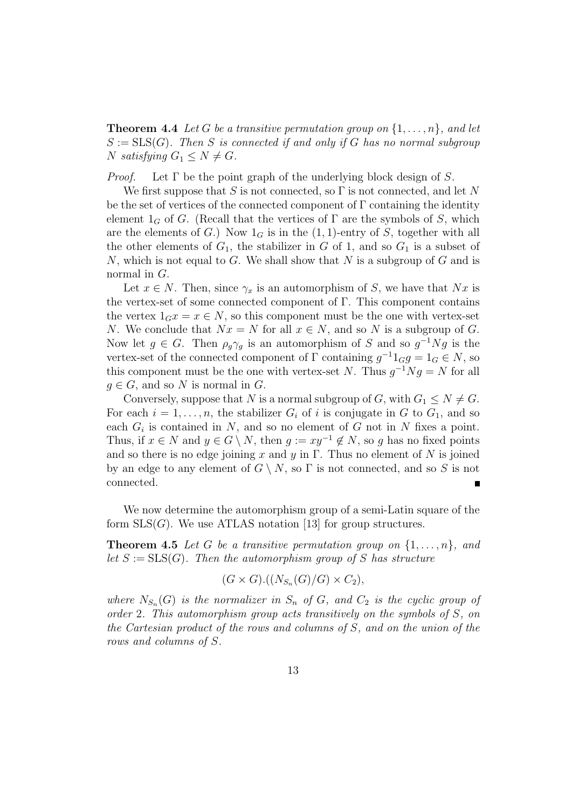**Theorem 4.4** Let G be a transitive permutation group on  $\{1, \ldots, n\}$ , and let  $S := SLS(G)$ . Then S is connected if and only if G has no normal subgroup N satisfying  $G_1 \leq N \neq G$ .

*Proof.* Let  $\Gamma$  be the point graph of the underlying block design of S.

We first suppose that S is not connected, so  $\Gamma$  is not connected, and let N be the set of vertices of the connected component of  $\Gamma$  containing the identity element  $1_G$  of G. (Recall that the vertices of  $\Gamma$  are the symbols of S, which are the elements of G.) Now  $1_G$  is in the  $(1, 1)$ -entry of S, together with all the other elements of  $G_1$ , the stabilizer in G of 1, and so  $G_1$  is a subset of N, which is not equal to G. We shall show that  $N$  is a subgroup of  $G$  and is normal in G.

Let  $x \in N$ . Then, since  $\gamma_x$  is an automorphism of S, we have that Nx is the vertex-set of some connected component of Γ. This component contains the vertex  $1_G x = x \in N$ , so this component must be the one with vertex-set N. We conclude that  $Nx = N$  for all  $x \in N$ , and so N is a subgroup of G. Now let  $g \in G$ . Then  $\rho_g \gamma_g$  is an automorphism of S and so  $g^{-1}Ng$  is the vertex-set of the connected component of  $\Gamma$  containing  $g^{-1}1_Gg = 1_G \in N$ , so this component must be the one with vertex-set N. Thus  $g^{-1}Ng = N$  for all  $q \in G$ , and so N is normal in G.

Conversely, suppose that N is a normal subgroup of G, with  $G_1 \leq N \neq G$ . For each  $i = 1, \ldots, n$ , the stabilizer  $G_i$  of i is conjugate in G to  $G_1$ , and so each  $G_i$  is contained in N, and so no element of G not in N fixes a point. Thus, if  $x \in N$  and  $y \in G \setminus N$ , then  $g := xy^{-1} \notin N$ , so g has no fixed points and so there is no edge joining x and y in  $\Gamma$ . Thus no element of N is joined by an edge to any element of  $G \setminus N$ , so  $\Gamma$  is not connected, and so S is not connected.

We now determine the automorphism group of a semi-Latin square of the form  $SLS(G)$ . We use ATLAS notation [13] for group structures.

**Theorem 4.5** Let G be a transitive permutation group on  $\{1, \ldots, n\}$ , and let  $S := SLS(G)$ . Then the automorphism group of S has structure

$$
(G \times G).((N_{S_n}(G)/G) \times C_2),
$$

where  $N_{S_n}(G)$  is the normalizer in  $S_n$  of  $G$ , and  $C_2$  is the cyclic group of order 2. This automorphism group acts transitively on the symbols of S, on the Cartesian product of the rows and columns of S, and on the union of the rows and columns of S.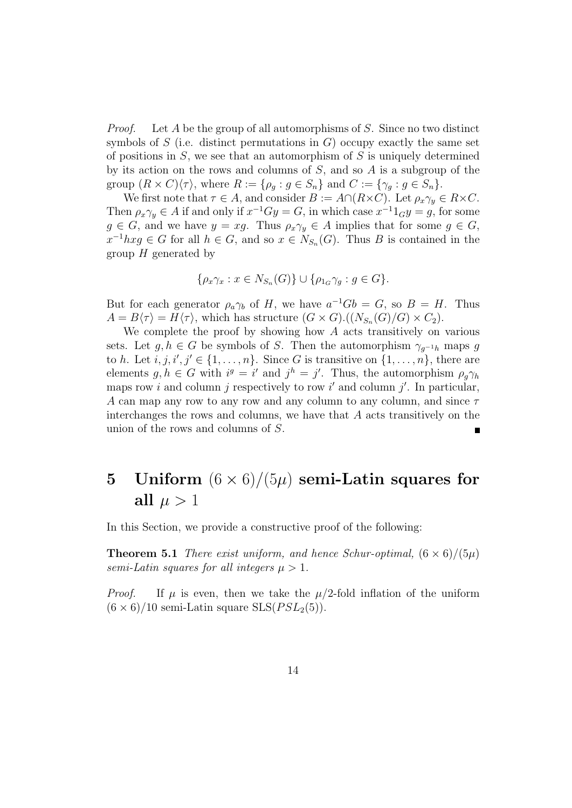Proof. Let A be the group of all automorphisms of S. Since no two distinct symbols of S (i.e. distinct permutations in  $G$ ) occupy exactly the same set of positions in  $S$ , we see that an automorphism of S is uniquely determined by its action on the rows and columns of S, and so A is a subgroup of the group  $(R \times C)\langle \tau \rangle$ , where  $R := \{\rho_g : g \in S_n\}$  and  $C := \{\gamma_g : g \in S_n\}.$ 

We first note that  $\tau \in A$ , and consider  $B := A \cap (R \times C)$ . Let  $\rho_x \gamma_y \in R \times C$ . Then  $\rho_x \gamma_y \in A$  if and only if  $x^{-1}Gy = G$ , in which case  $x^{-1}1_Gy = g$ , for some  $g \in G$ , and we have  $y = xg$ . Thus  $\rho_x \gamma_y \in A$  implies that for some  $g \in G$ ,  $x^{-1}hxg \in G$  for all  $h \in G$ , and so  $x \in N_{S_n}(G)$ . Thus B is contained in the group  $H$  generated by

$$
\{\rho_x\gamma_x : x \in N_{S_n}(G)\} \cup \{\rho_{1_G}\gamma_g : g \in G\}.
$$

But for each generator  $\rho_a \gamma_b$  of H, we have  $a^{-1}Gb = G$ , so  $B = H$ . Thus  $A = B\langle \tau \rangle = H\langle \tau \rangle$ , which has structure  $(G \times G) \cdot ((N_{S_n}(G)/G) \times C_2)$ .

We complete the proof by showing how  $A$  acts transitively on various sets. Let  $g, h \in G$  be symbols of S. Then the automorphism  $\gamma_{q^{-1}h}$  maps g to h. Let  $i, j, i', j' \in \{1, \ldots, n\}$ . Since G is transitive on  $\{1, \ldots, n\}$ , there are elements  $g, h \in G$  with  $i^g = i'$  and  $j^h = j'$ . Thus, the automorphism  $\rho_g \gamma_h$ maps row i and column j respectively to row i' and column j'. In particular, A can map any row to any row and any column to any column, and since  $\tau$ interchanges the rows and columns, we have that A acts transitively on the union of the rows and columns of S.  $\blacksquare$ 

## 5 Uniform  $(6 \times 6)/(5\mu)$  semi-Latin squares for all  $\mu > 1$

In this Section, we provide a constructive proof of the following:

**Theorem 5.1** There exist uniform, and hence Schur-optimal,  $(6 \times 6)/(5\mu)$ semi-Latin squares for all integers  $\mu > 1$ .

*Proof.* If  $\mu$  is even, then we take the  $\mu/2$ -fold inflation of the uniform  $(6 \times 6)/10$  semi-Latin square SLS( $PSL_2(5)$ ).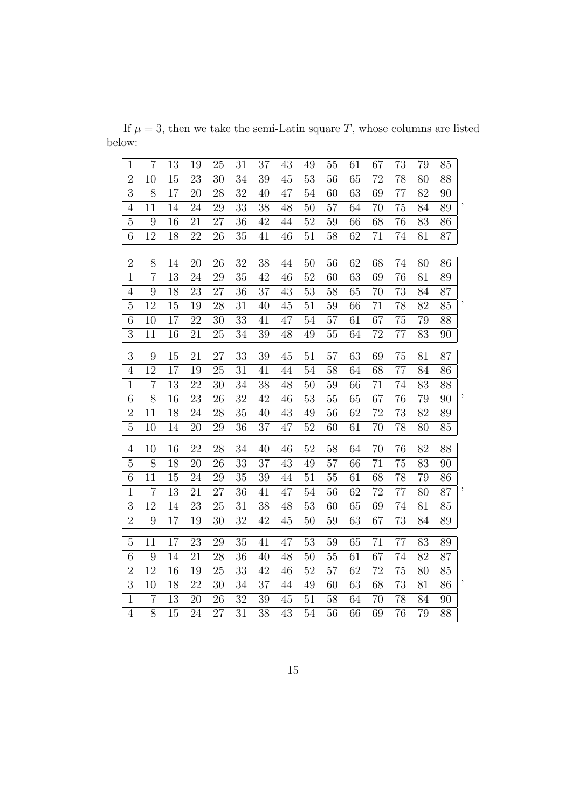If  $\mu = 3$ , then we take the semi-Latin square T, whose columns are listed below:

| $\mathbf{1}$   | $\overline{7}$   | 13              | 19 | 25              | 31              | 37              | 43     | 49              | 55 | 61              | 67 | 73              | 79 | 85              |                          |
|----------------|------------------|-----------------|----|-----------------|-----------------|-----------------|--------|-----------------|----|-----------------|----|-----------------|----|-----------------|--------------------------|
| $\overline{2}$ | 10               | 15              | 23 | $\overline{30}$ | 34              | 39              | 45     | $\overline{53}$ | 56 | $\overline{65}$ | 72 | $\overline{78}$ | 80 | 88              |                          |
| 3              | 8                | 17              | 20 | 28              | 32              | 40              | 47     | 54              | 60 | 63              | 69 | 77              | 82 | 90              |                          |
| $\overline{4}$ | 11               | $\overline{14}$ | 24 | $\overline{29}$ | 33              | $\overline{38}$ | 48     | $\overline{50}$ | 57 | $\overline{64}$ | 70 | 75              | 84 | 89              | $\overline{\phantom{a}}$ |
| $\overline{5}$ | 9                | 16              | 21 | 27              | 36              | 42              | 44     | 52              | 59 | 66              | 68 | 76              | 83 | 86              |                          |
| $\overline{6}$ | 12               | 18              | 22 | 26              | 35              | 41              | 46     | $\overline{51}$ | 58 | $\overline{62}$ | 71 | 74              | 81 | 87              |                          |
|                |                  |                 |    |                 |                 |                 |        |                 |    |                 |    |                 |    |                 |                          |
| $\overline{2}$ | 8                | 14              | 20 | 26              | 32              | 38              | 44     | 50              | 56 | 62              | 68 | 74              | 80 | 86              |                          |
| $\mathbf 1$    | $\overline{7}$   | $\overline{13}$ | 24 | $\overline{29}$ | 35              | $\overline{42}$ | 46     | $\overline{52}$ | 60 | $\overline{63}$ | 69 | $\overline{76}$ | 81 | 89              |                          |
| $\overline{4}$ | 9                | 18              | 23 | 27              | 36              | 37              | 43     | 53              | 58 | 65              | 70 | 73              | 84 | 87              |                          |
| $\overline{5}$ | 12               | 15              | 19 | 28              | 31              | 40              | 45     | 51              | 59 | 66              | 71 | 78              | 82 | 85              | $\overline{\phantom{a}}$ |
| $\overline{6}$ | 10               | 17              | 22 | 30              | 33              | 41              | 47     | 54              | 57 | 61              | 67 | 75              | 79 | 88              |                          |
| $\overline{3}$ | 11               | 16              | 21 | 25              | 34              | 39              | 48     | 49              | 55 | 64              | 72 | 77              | 83 | 90              |                          |
| $\overline{3}$ | 9                | $\overline{15}$ | 21 | $\overline{27}$ | $\overline{33}$ | $\overline{39}$ | 45     | $\overline{51}$ | 57 | $\overline{63}$ | 69 | 75              | 81 | $\overline{87}$ |                          |
| $\overline{4}$ | 12               | $\overline{17}$ | 19 | 25              | 31              | 41              | 44     | 54              | 58 | 64              | 68 | $\overline{77}$ | 84 | 86              |                          |
| $\overline{1}$ | $\overline{7}$   | $\overline{13}$ | 22 | $\overline{30}$ | 34              | $\overline{38}$ | 48     | 50              | 59 | $\overline{66}$ | 71 | $\overline{74}$ | 83 | $\overline{88}$ |                          |
| $\overline{6}$ | $\overline{8}$   | 16              | 23 | $\overline{26}$ | 32              | 42              | 46     | $\overline{53}$ | 55 | $\overline{65}$ | 67 | 76              | 79 | 90              | $\overline{\phantom{a}}$ |
| $\overline{2}$ | 11               | 18              | 24 | 28              | 35              | 40              | 43     | 49              | 56 | 62              | 72 | 73              | 82 | 89              |                          |
| $\overline{5}$ | 10               | 14              | 20 | $\overline{29}$ | 36              | $\overline{37}$ | 47     | $\overline{52}$ | 60 | $\overline{61}$ | 70 | $\overline{78}$ | 80 | 85              |                          |
|                |                  |                 |    |                 |                 |                 |        |                 |    |                 |    |                 |    |                 |                          |
| $\overline{4}$ | 10               | 16              | 22 | 28              | 34              | 40              | 46     | 52              | 58 | 64              | 70 | 76              | 82 | 88              |                          |
| $\overline{5}$ | 8                | 18              | 20 | 26              | 33              | 37              | 43     | 49              | 57 | 66              | 71 | 75              | 83 | 90              |                          |
| $\overline{6}$ | 11               | 15              | 24 | 29              | 35              | 39              | 44     | $\overline{51}$ | 55 | 61              | 68 | $\overline{78}$ | 79 | 86              | $\overline{\phantom{a}}$ |
| $\mathbf{1}$   | $\overline{7}$   | 13              | 21 | 27              | 36              | 41              | 47     | 54              | 56 | 62              | 72 | 77              | 80 | 87              |                          |
| $\overline{3}$ | $\overline{12}$  | 14              | 23 | 25              | 31              | 38              | 48     | $\overline{53}$ | 60 | $\overline{65}$ | 69 | $\overline{74}$ | 81 | 85              |                          |
| $\overline{2}$ | 9                | 17              | 19 | 30              | 32              | 42              | 45     | 50              | 59 | 63              | 67 | 73              | 84 | 89              |                          |
| $\overline{5}$ | 11               | 17              | 23 | 29              | 35              | 41              | 47     | 53              | 59 | 65              | 71 | 77              | 83 | 89              |                          |
| $\,6$          | $\boldsymbol{9}$ | 14              | 21 | 28              | 36              | 40              | 48     | 50              | 55 | 61              | 67 | 74              | 82 | 87              |                          |
| $\overline{2}$ | 12               | 16              | 19 | 25              | 33              | 42              | 46     | 52              | 57 | 62              | 72 | 75              | 80 | 85              |                          |
| $\overline{3}$ | 10               | $\overline{18}$ | 22 | 30              | 34              | $\overline{37}$ | 44     | 49              | 60 | $\overline{63}$ | 68 | $\overline{73}$ | 81 | 86              | $\overline{\phantom{a}}$ |
| $\mathbf{1}$   | $\overline{7}$   | 13              | 20 | 26              | 32              | 39              | $45\,$ | 51              | 58 | 64              | 70 | 78              | 84 | 90              |                          |
| $\overline{4}$ | 8                | 15              | 24 | 27              | 31              | 38              | 43     | 54              | 56 | 66              | 69 | 76              | 79 | 88              |                          |
|                |                  |                 |    |                 |                 |                 |        |                 |    |                 |    |                 |    |                 |                          |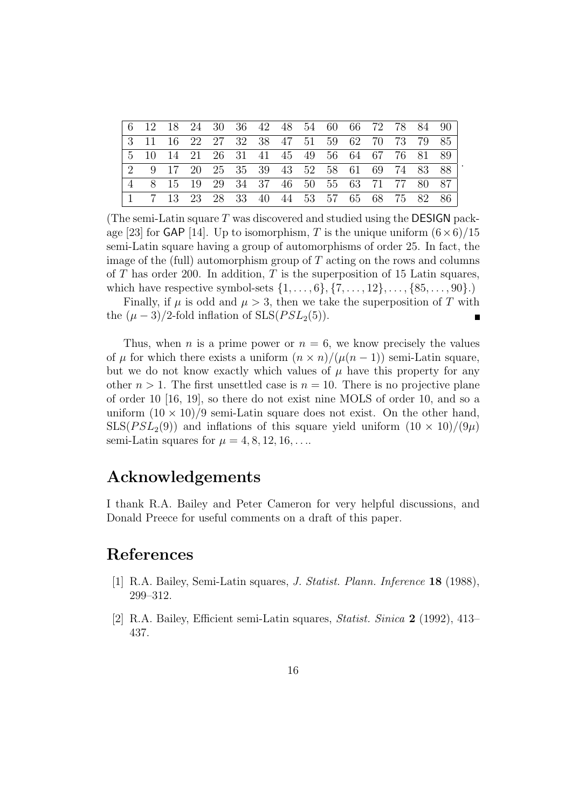|  |     | 2 9 17 20 25 35 39 43 52 58 61 69 74 83 88 |  |  |  |  |  |
|--|-----|--------------------------------------------|--|--|--|--|--|
|  |     | 8 15 19 29 34 37 46 50 55 63 71 77 80 87   |  |  |  |  |  |
|  | -13 | 23 28 33 40 44 53 57 65 68 75 82 86        |  |  |  |  |  |

.

(The semi-Latin square  $T$  was discovered and studied using the **DESIGN** package [23] for GAP [14]. Up to isomorphism, T is the unique uniform  $(6 \times 6)/15$ semi-Latin square having a group of automorphisms of order 25. In fact, the image of the (full) automorphism group of  $T$  acting on the rows and columns of  $T$  has order 200. In addition,  $T$  is the superposition of 15 Latin squares, which have respective symbol-sets  $\{1, ..., 6\}, \{7, ..., 12\}, ..., \{85, ..., 90\}$ .)

Finally, if  $\mu$  is odd and  $\mu > 3$ , then we take the superposition of T with the  $(\mu - 3)/2$ -fold inflation of SLS( $PSL_2(5)$ ).

Thus, when *n* is a prime power or  $n = 6$ , we know precisely the values of  $\mu$  for which there exists a uniform  $(n \times n)/(\mu(n-1))$  semi-Latin square, but we do not know exactly which values of  $\mu$  have this property for any other  $n > 1$ . The first unsettled case is  $n = 10$ . There is no projective plane of order 10 [16, 19], so there do not exist nine MOLS of order 10, and so a uniform  $(10 \times 10)/9$  semi-Latin square does not exist. On the other hand,  $SLS(PSL<sub>2</sub>(9))$  and inflations of this square yield uniform  $(10 \times 10)/(9\mu)$ semi-Latin squares for  $\mu = 4, 8, 12, 16, \ldots$ 

## Acknowledgements

I thank R.A. Bailey and Peter Cameron for very helpful discussions, and Donald Preece for useful comments on a draft of this paper.

## References

- [1] R.A. Bailey, Semi-Latin squares, J. Statist. Plann. Inference 18 (1988), 299–312.
- [2] R.A. Bailey, Efficient semi-Latin squares, Statist. Sinica 2 (1992), 413– 437.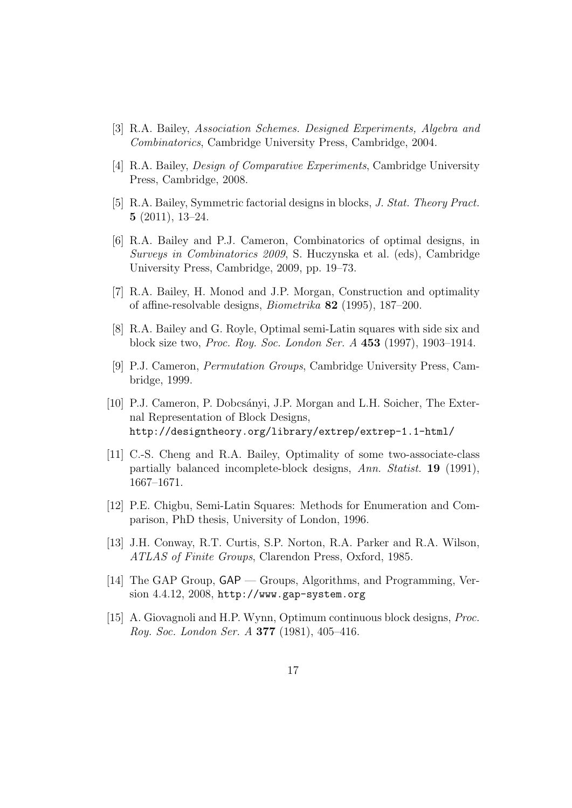- [3] R.A. Bailey, Association Schemes. Designed Experiments, Algebra and Combinatorics, Cambridge University Press, Cambridge, 2004.
- [4] R.A. Bailey, Design of Comparative Experiments, Cambridge University Press, Cambridge, 2008.
- [5] R.A. Bailey, Symmetric factorial designs in blocks, J. Stat. Theory Pract. 5 (2011), 13–24.
- [6] R.A. Bailey and P.J. Cameron, Combinatorics of optimal designs, in Surveys in Combinatorics 2009, S. Huczynska et al. (eds), Cambridge University Press, Cambridge, 2009, pp. 19–73.
- [7] R.A. Bailey, H. Monod and J.P. Morgan, Construction and optimality of affine-resolvable designs, Biometrika 82 (1995), 187–200.
- [8] R.A. Bailey and G. Royle, Optimal semi-Latin squares with side six and block size two, Proc. Roy. Soc. London Ser. A 453 (1997), 1903–1914.
- [9] P.J. Cameron, Permutation Groups, Cambridge University Press, Cambridge, 1999.
- [10] P.J. Cameron, P. Dobcsányi, J.P. Morgan and L.H. Soicher, The External Representation of Block Designs, http://designtheory.org/library/extrep/extrep-1.1-html/
- [11] C.-S. Cheng and R.A. Bailey, Optimality of some two-associate-class partially balanced incomplete-block designs, Ann. Statist. 19 (1991), 1667–1671.
- [12] P.E. Chigbu, Semi-Latin Squares: Methods for Enumeration and Comparison, PhD thesis, University of London, 1996.
- [13] J.H. Conway, R.T. Curtis, S.P. Norton, R.A. Parker and R.A. Wilson, ATLAS of Finite Groups, Clarendon Press, Oxford, 1985.
- [14] The GAP Group, GAP Groups, Algorithms, and Programming, Version 4.4.12, 2008, http://www.gap-system.org
- [15] A. Giovagnoli and H.P. Wynn, Optimum continuous block designs, Proc. Roy. Soc. London Ser. A 377 (1981), 405–416.